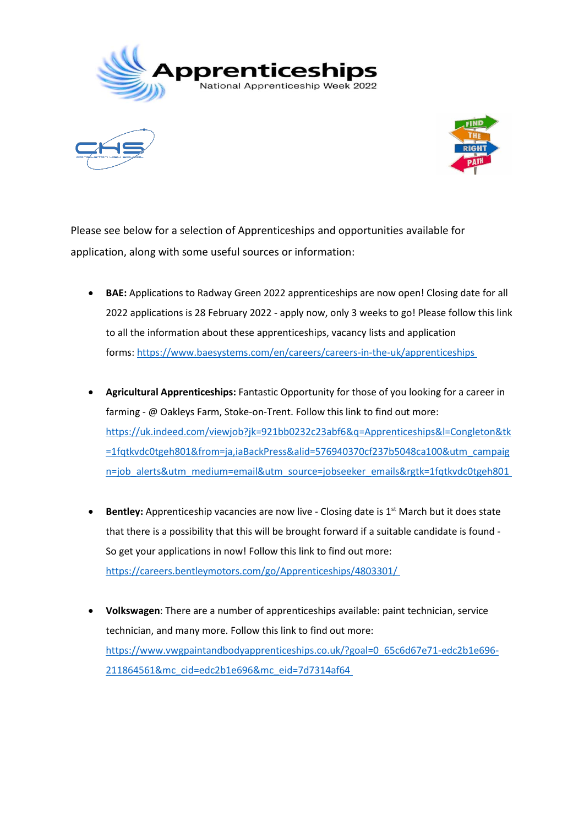





Please see below for a selection of Apprenticeships and opportunities available for application, along with some useful sources or information:

- **BAE:** Applications to Radway Green 2022 apprenticeships are now open! Closing date for all 2022 applications is 28 February 2022 - apply now, only 3 weeks to go! Please follow this link to all the information about these apprenticeships, vacancy lists and application forms: [https://www.baesystems.com/en/careers/careers-in-the-uk/apprenticeships](https://www.baesystems.com/en/careers/careers-in-the-uk/apprenticeships )
- **Agricultural Apprenticeships:** Fantastic Opportunity for those of you looking for a career in farming - @ Oakleys Farm, Stoke-on-Trent. Follow this link to find out more: [https://uk.indeed.com/viewjob?jk=921bb0232c23abf6&q=Apprenticeships&l=Congleton&tk](https://uk.indeed.com/viewjob?jk=921bb0232c23abf6&q=Apprenticeships&l=Congleton&tk=1fqtkvdc0tgeh801&from=ja,iaBackPress&alid=576940370cf237b5048ca100&utm_campaign=job_alerts&utm_medium=email&utm_source=jobseeker_emails&rgtk=1fqtkvdc0tgeh801) [=1fqtkvdc0tgeh801&from=ja,iaBackPress&alid=576940370cf237b5048ca100&utm\\_campaig](https://uk.indeed.com/viewjob?jk=921bb0232c23abf6&q=Apprenticeships&l=Congleton&tk=1fqtkvdc0tgeh801&from=ja,iaBackPress&alid=576940370cf237b5048ca100&utm_campaign=job_alerts&utm_medium=email&utm_source=jobseeker_emails&rgtk=1fqtkvdc0tgeh801) [n=job\\_alerts&utm\\_medium=email&utm\\_source=jobseeker\\_emails&rgtk=1fqtkvdc0tgeh801](https://uk.indeed.com/viewjob?jk=921bb0232c23abf6&q=Apprenticeships&l=Congleton&tk=1fqtkvdc0tgeh801&from=ja,iaBackPress&alid=576940370cf237b5048ca100&utm_campaign=job_alerts&utm_medium=email&utm_source=jobseeker_emails&rgtk=1fqtkvdc0tgeh801)
- **Bentley:** Apprenticeship vacancies are now live Closing date is 1<sup>st</sup> March but it does state that there is a possibility that this will be brought forward if a suitable candidate is found - So get your applications in now! Follow this link to find out more: <https://careers.bentleymotors.com/go/Apprenticeships/4803301/>
- **Volkswagen**: There are a number of apprenticeships available: paint technician, service technician, and many more. Follow this link to find out more: [https://www.vwgpaintandbodyapprenticeships.co.uk/?goal=0\\_65c6d67e71-edc2b1e696-](https://www.vwgpaintandbodyapprenticeships.co.uk/?goal=0_65c6d67e71-edc2b1e696-211864561&mc_cid=edc2b1e696&mc_eid=7d7314af64) [211864561&mc\\_cid=edc2b1e696&mc\\_eid=7d7314af64](https://www.vwgpaintandbodyapprenticeships.co.uk/?goal=0_65c6d67e71-edc2b1e696-211864561&mc_cid=edc2b1e696&mc_eid=7d7314af64)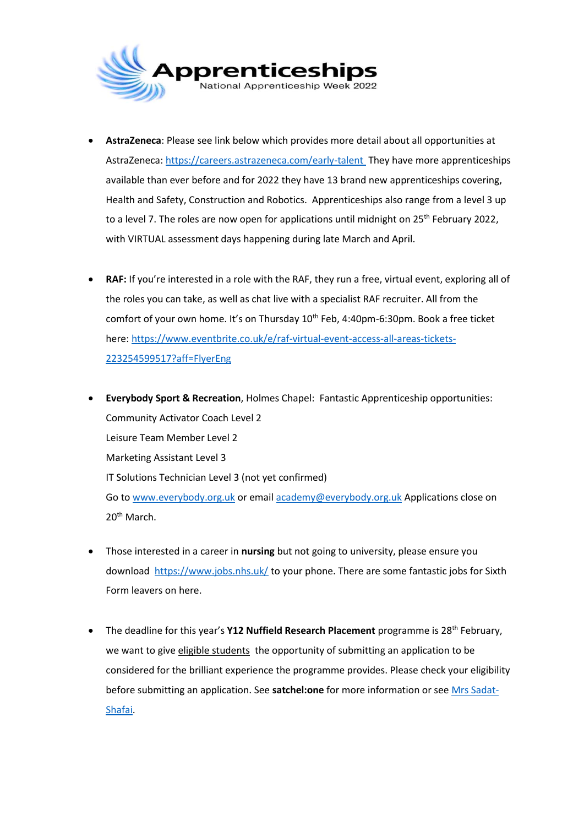

- **AstraZeneca**: Please see link below which provides more detail about all opportunities at AstraZeneca[: https://careers.astrazeneca.com/early-talent](https://careers.astrazeneca.com/early-talent) They have more apprenticeships available than ever before and for 2022 they have 13 brand new apprenticeships covering, Health and Safety, Construction and Robotics. Apprenticeships also range from a level 3 up to a level 7. The roles are now open for applications until midnight on 25<sup>th</sup> February 2022, with VIRTUAL assessment days happening during late March and April.
- **RAF:** If you're interested in a role with the RAF, they run a free, virtual event, exploring all of the roles you can take, as well as chat live with a specialist RAF recruiter. All from the comfort of your own home. It's on Thursday 10<sup>th</sup> Feb, 4:40pm-6:30pm. Book a free ticket here: [https://www.eventbrite.co.uk/e/raf-virtual-event-access-all-areas-tickets-](https://www.eventbrite.co.uk/e/raf-virtual-event-access-all-areas-tickets-223254599517?aff=FlyerEng)[223254599517?aff=FlyerEng](https://www.eventbrite.co.uk/e/raf-virtual-event-access-all-areas-tickets-223254599517?aff=FlyerEng)
- **Everybody Sport & Recreation**, Holmes Chapel: Fantastic Apprenticeship opportunities: Community Activator Coach Level 2 Leisure Team Member Level 2 Marketing Assistant Level 3 IT Solutions Technician Level 3 (not yet confirmed) Go to [www.everybody.org.uk](file://///chs-file03/KKenyon$/Downloads/www.everybody.org.uk%20) or emai[l academy@everybody.org.uk](mailto:academy@everybody.org.uk) Applications close on 20<sup>th</sup> March.
- Those interested in a career in **nursing** but not going to university, please ensure you download<https://www.jobs.nhs.uk/> to your phone. There are some fantastic jobs for Sixth Form leavers on here.
- The deadline for this year's **Y12 Nuffield Research Placement** programme is 28<sup>th</sup> February, we want to giv[e eligible students](https://www.nuffieldresearchplacements.org/apply-student-placement) the opportunity of submitting an application to be considered for the brilliant experience the programme provides. Please check your eligibility before submitting an application. See **satchel:one** for more information or see [Mrs Sadat-](mailto:jsadatshafai@congletonhigh.com)[Shafai.](mailto:jsadatshafai@congletonhigh.com)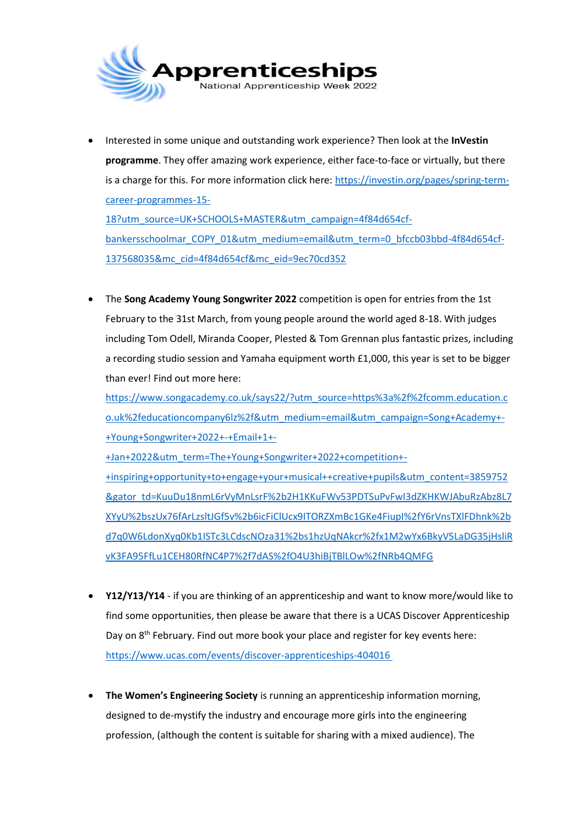

 Interested in some unique and outstanding work experience? Then look at the **InVestin programme**. They offer amazing work experience, either face-to-face or virtually, but there is a charge for this. For more information click here[: https://investin.org/pages/spring-term](https://investin.org/pages/spring-term-career-programmes-15-18?utm_source=UK+SCHOOLS+MASTER&utm_campaign=4f84d654cf-bankersschoolmar_COPY_01&utm_medium=email&utm_term=0_bfccb03bbd-4f84d654cf-137568035&mc_cid=4f84d654cf&mc_eid=9ec70cd352)[career-programmes-15-](https://investin.org/pages/spring-term-career-programmes-15-18?utm_source=UK+SCHOOLS+MASTER&utm_campaign=4f84d654cf-bankersschoolmar_COPY_01&utm_medium=email&utm_term=0_bfccb03bbd-4f84d654cf-137568035&mc_cid=4f84d654cf&mc_eid=9ec70cd352)

[18?utm\\_source=UK+SCHOOLS+MASTER&utm\\_campaign=4f84d654cf](https://investin.org/pages/spring-term-career-programmes-15-18?utm_source=UK+SCHOOLS+MASTER&utm_campaign=4f84d654cf-bankersschoolmar_COPY_01&utm_medium=email&utm_term=0_bfccb03bbd-4f84d654cf-137568035&mc_cid=4f84d654cf&mc_eid=9ec70cd352)[bankersschoolmar\\_COPY\\_01&utm\\_medium=email&utm\\_term=0\\_bfccb03bbd-4f84d654cf-](https://investin.org/pages/spring-term-career-programmes-15-18?utm_source=UK+SCHOOLS+MASTER&utm_campaign=4f84d654cf-bankersschoolmar_COPY_01&utm_medium=email&utm_term=0_bfccb03bbd-4f84d654cf-137568035&mc_cid=4f84d654cf&mc_eid=9ec70cd352)[137568035&mc\\_cid=4f84d654cf&mc\\_eid=9ec70cd352](https://investin.org/pages/spring-term-career-programmes-15-18?utm_source=UK+SCHOOLS+MASTER&utm_campaign=4f84d654cf-bankersschoolmar_COPY_01&utm_medium=email&utm_term=0_bfccb03bbd-4f84d654cf-137568035&mc_cid=4f84d654cf&mc_eid=9ec70cd352)

 The **Song Academy Young Songwriter 2022** competition is open for entries from the 1st February to the 31st March, from young people around the world aged 8-18. With judges including Tom Odell, Miranda Cooper, Plested & Tom Grennan plus fantastic prizes, including a recording studio session and Yamaha equipment worth £1,000, this year is set to be bigger than ever! Find out more here:

[https://www.songacademy.co.uk/says22/?utm\\_source=https%3a%2f%2fcomm.education.c](https://www.songacademy.co.uk/says22/?utm_source=https%3a%2f%2fcomm.education.co.uk%2feducationcompany6lz%2f&utm_medium=email&utm_campaign=Song+Academy+-+Young+Songwriter+2022+-+Email+1+-+Jan+2022&utm_term=The+Young+Songwriter+2022+competition+-+inspiring+opportunity+to+engage+your+musical++creative+pupils&utm_content=3859752&gator_td=KuuDu18nmL6rVyMnLsrF%2b2H1KKuFWv53PDTSuPvFwI3dZKHKWJAbuRzAbz8L7XYyU%2bszUx76fArLzsltJGf5v%2b6icFiClUcx9ITORZXmBc1GKe4FiupI%2fY6rVnsTXlFDhnk%2bd7q0W6LdonXyq0Kb1ISTc3LCdscNOza31%2bs1hzUqNAkcr%2fx1M2wYx6BkyV5LaDG35jHsliRvK3FA95FfLu1CEH80RfNC4P7%2f7dAS%2fO4U3hiBjTBlLOw%2fNRb4QMFG) [o.uk%2feducationcompany6lz%2f&utm\\_medium=email&utm\\_campaign=Song+Academy+-](https://www.songacademy.co.uk/says22/?utm_source=https%3a%2f%2fcomm.education.co.uk%2feducationcompany6lz%2f&utm_medium=email&utm_campaign=Song+Academy+-+Young+Songwriter+2022+-+Email+1+-+Jan+2022&utm_term=The+Young+Songwriter+2022+competition+-+inspiring+opportunity+to+engage+your+musical++creative+pupils&utm_content=3859752&gator_td=KuuDu18nmL6rVyMnLsrF%2b2H1KKuFWv53PDTSuPvFwI3dZKHKWJAbuRzAbz8L7XYyU%2bszUx76fArLzsltJGf5v%2b6icFiClUcx9ITORZXmBc1GKe4FiupI%2fY6rVnsTXlFDhnk%2bd7q0W6LdonXyq0Kb1ISTc3LCdscNOza31%2bs1hzUqNAkcr%2fx1M2wYx6BkyV5LaDG35jHsliRvK3FA95FfLu1CEH80RfNC4P7%2f7dAS%2fO4U3hiBjTBlLOw%2fNRb4QMFG) [+Young+Songwriter+2022+-+Email+1+-](https://www.songacademy.co.uk/says22/?utm_source=https%3a%2f%2fcomm.education.co.uk%2feducationcompany6lz%2f&utm_medium=email&utm_campaign=Song+Academy+-+Young+Songwriter+2022+-+Email+1+-+Jan+2022&utm_term=The+Young+Songwriter+2022+competition+-+inspiring+opportunity+to+engage+your+musical++creative+pupils&utm_content=3859752&gator_td=KuuDu18nmL6rVyMnLsrF%2b2H1KKuFWv53PDTSuPvFwI3dZKHKWJAbuRzAbz8L7XYyU%2bszUx76fArLzsltJGf5v%2b6icFiClUcx9ITORZXmBc1GKe4FiupI%2fY6rVnsTXlFDhnk%2bd7q0W6LdonXyq0Kb1ISTc3LCdscNOza31%2bs1hzUqNAkcr%2fx1M2wYx6BkyV5LaDG35jHsliRvK3FA95FfLu1CEH80RfNC4P7%2f7dAS%2fO4U3hiBjTBlLOw%2fNRb4QMFG)

[+Jan+2022&utm\\_term=The+Young+Songwriter+2022+competition+-](https://www.songacademy.co.uk/says22/?utm_source=https%3a%2f%2fcomm.education.co.uk%2feducationcompany6lz%2f&utm_medium=email&utm_campaign=Song+Academy+-+Young+Songwriter+2022+-+Email+1+-+Jan+2022&utm_term=The+Young+Songwriter+2022+competition+-+inspiring+opportunity+to+engage+your+musical++creative+pupils&utm_content=3859752&gator_td=KuuDu18nmL6rVyMnLsrF%2b2H1KKuFWv53PDTSuPvFwI3dZKHKWJAbuRzAbz8L7XYyU%2bszUx76fArLzsltJGf5v%2b6icFiClUcx9ITORZXmBc1GKe4FiupI%2fY6rVnsTXlFDhnk%2bd7q0W6LdonXyq0Kb1ISTc3LCdscNOza31%2bs1hzUqNAkcr%2fx1M2wYx6BkyV5LaDG35jHsliRvK3FA95FfLu1CEH80RfNC4P7%2f7dAS%2fO4U3hiBjTBlLOw%2fNRb4QMFG)

[+inspiring+opportunity+to+engage+your+musical++creative+pupils&utm\\_content=3859752](https://www.songacademy.co.uk/says22/?utm_source=https%3a%2f%2fcomm.education.co.uk%2feducationcompany6lz%2f&utm_medium=email&utm_campaign=Song+Academy+-+Young+Songwriter+2022+-+Email+1+-+Jan+2022&utm_term=The+Young+Songwriter+2022+competition+-+inspiring+opportunity+to+engage+your+musical++creative+pupils&utm_content=3859752&gator_td=KuuDu18nmL6rVyMnLsrF%2b2H1KKuFWv53PDTSuPvFwI3dZKHKWJAbuRzAbz8L7XYyU%2bszUx76fArLzsltJGf5v%2b6icFiClUcx9ITORZXmBc1GKe4FiupI%2fY6rVnsTXlFDhnk%2bd7q0W6LdonXyq0Kb1ISTc3LCdscNOza31%2bs1hzUqNAkcr%2fx1M2wYx6BkyV5LaDG35jHsliRvK3FA95FfLu1CEH80RfNC4P7%2f7dAS%2fO4U3hiBjTBlLOw%2fNRb4QMFG) [&gator\\_td=KuuDu18nmL6rVyMnLsrF%2b2H1KKuFWv53PDTSuPvFwI3dZKHKWJAbuRzAbz8L7](https://www.songacademy.co.uk/says22/?utm_source=https%3a%2f%2fcomm.education.co.uk%2feducationcompany6lz%2f&utm_medium=email&utm_campaign=Song+Academy+-+Young+Songwriter+2022+-+Email+1+-+Jan+2022&utm_term=The+Young+Songwriter+2022+competition+-+inspiring+opportunity+to+engage+your+musical++creative+pupils&utm_content=3859752&gator_td=KuuDu18nmL6rVyMnLsrF%2b2H1KKuFWv53PDTSuPvFwI3dZKHKWJAbuRzAbz8L7XYyU%2bszUx76fArLzsltJGf5v%2b6icFiClUcx9ITORZXmBc1GKe4FiupI%2fY6rVnsTXlFDhnk%2bd7q0W6LdonXyq0Kb1ISTc3LCdscNOza31%2bs1hzUqNAkcr%2fx1M2wYx6BkyV5LaDG35jHsliRvK3FA95FfLu1CEH80RfNC4P7%2f7dAS%2fO4U3hiBjTBlLOw%2fNRb4QMFG) [XYyU%2bszUx76fArLzsltJGf5v%2b6icFiClUcx9ITORZXmBc1GKe4FiupI%2fY6rVnsTXlFDhnk%2b](https://www.songacademy.co.uk/says22/?utm_source=https%3a%2f%2fcomm.education.co.uk%2feducationcompany6lz%2f&utm_medium=email&utm_campaign=Song+Academy+-+Young+Songwriter+2022+-+Email+1+-+Jan+2022&utm_term=The+Young+Songwriter+2022+competition+-+inspiring+opportunity+to+engage+your+musical++creative+pupils&utm_content=3859752&gator_td=KuuDu18nmL6rVyMnLsrF%2b2H1KKuFWv53PDTSuPvFwI3dZKHKWJAbuRzAbz8L7XYyU%2bszUx76fArLzsltJGf5v%2b6icFiClUcx9ITORZXmBc1GKe4FiupI%2fY6rVnsTXlFDhnk%2bd7q0W6LdonXyq0Kb1ISTc3LCdscNOza31%2bs1hzUqNAkcr%2fx1M2wYx6BkyV5LaDG35jHsliRvK3FA95FfLu1CEH80RfNC4P7%2f7dAS%2fO4U3hiBjTBlLOw%2fNRb4QMFG) [d7q0W6LdonXyq0Kb1ISTc3LCdscNOza31%2bs1hzUqNAkcr%2fx1M2wYx6BkyV5LaDG35jHsliR](https://www.songacademy.co.uk/says22/?utm_source=https%3a%2f%2fcomm.education.co.uk%2feducationcompany6lz%2f&utm_medium=email&utm_campaign=Song+Academy+-+Young+Songwriter+2022+-+Email+1+-+Jan+2022&utm_term=The+Young+Songwriter+2022+competition+-+inspiring+opportunity+to+engage+your+musical++creative+pupils&utm_content=3859752&gator_td=KuuDu18nmL6rVyMnLsrF%2b2H1KKuFWv53PDTSuPvFwI3dZKHKWJAbuRzAbz8L7XYyU%2bszUx76fArLzsltJGf5v%2b6icFiClUcx9ITORZXmBc1GKe4FiupI%2fY6rVnsTXlFDhnk%2bd7q0W6LdonXyq0Kb1ISTc3LCdscNOza31%2bs1hzUqNAkcr%2fx1M2wYx6BkyV5LaDG35jHsliRvK3FA95FfLu1CEH80RfNC4P7%2f7dAS%2fO4U3hiBjTBlLOw%2fNRb4QMFG) [vK3FA95FfLu1CEH80RfNC4P7%2f7dAS%2fO4U3hiBjTBlLOw%2fNRb4QMFG](https://www.songacademy.co.uk/says22/?utm_source=https%3a%2f%2fcomm.education.co.uk%2feducationcompany6lz%2f&utm_medium=email&utm_campaign=Song+Academy+-+Young+Songwriter+2022+-+Email+1+-+Jan+2022&utm_term=The+Young+Songwriter+2022+competition+-+inspiring+opportunity+to+engage+your+musical++creative+pupils&utm_content=3859752&gator_td=KuuDu18nmL6rVyMnLsrF%2b2H1KKuFWv53PDTSuPvFwI3dZKHKWJAbuRzAbz8L7XYyU%2bszUx76fArLzsltJGf5v%2b6icFiClUcx9ITORZXmBc1GKe4FiupI%2fY6rVnsTXlFDhnk%2bd7q0W6LdonXyq0Kb1ISTc3LCdscNOza31%2bs1hzUqNAkcr%2fx1M2wYx6BkyV5LaDG35jHsliRvK3FA95FfLu1CEH80RfNC4P7%2f7dAS%2fO4U3hiBjTBlLOw%2fNRb4QMFG)

- **Y12/Y13/Y14** if you are thinking of an apprenticeship and want to know more/would like to find some opportunities, then please be aware that there is a UCAS Discover Apprenticeship Day on 8<sup>th</sup> February. Find out more book your place and register for key events here: [https://www.ucas.com/events/discover-apprenticeships-404016](https://www.ucas.com/events/discover-apprenticeships-404016 )
- **The Women's Engineering Society** is running an apprenticeship information morning, designed to de-mystify the industry and encourage more girls into the engineering profession, (although the content is suitable for sharing with a mixed audience). The